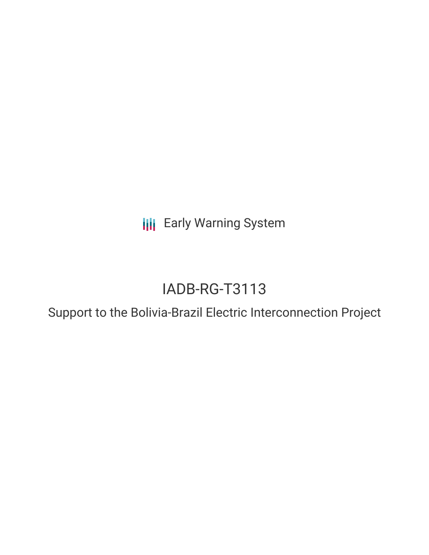**III** Early Warning System

# IADB-RG-T3113

Support to the Bolivia-Brazil Electric Interconnection Project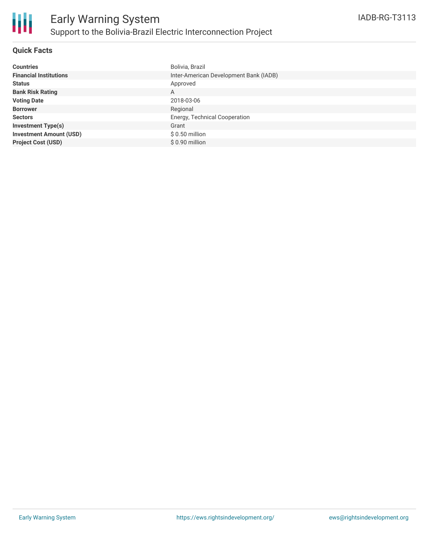

## **Quick Facts**

| <b>Countries</b>               | Bolivia, Brazil                        |
|--------------------------------|----------------------------------------|
| <b>Financial Institutions</b>  | Inter-American Development Bank (IADB) |
| <b>Status</b>                  | Approved                               |
| <b>Bank Risk Rating</b>        | A                                      |
| <b>Voting Date</b>             | 2018-03-06                             |
| <b>Borrower</b>                | Regional                               |
| <b>Sectors</b>                 | Energy, Technical Cooperation          |
| <b>Investment Type(s)</b>      | Grant                                  |
| <b>Investment Amount (USD)</b> | $$0.50$ million                        |
| <b>Project Cost (USD)</b>      | \$0.90 million                         |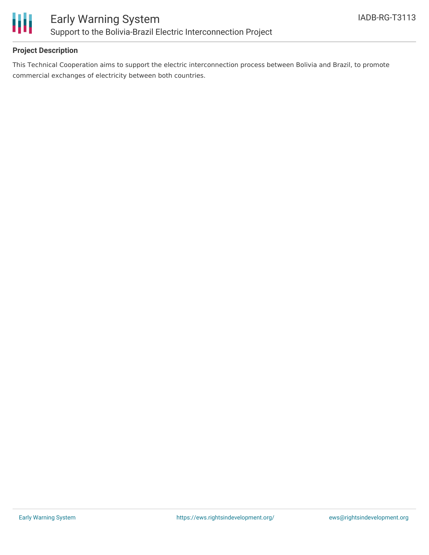

# **Project Description**

This Technical Cooperation aims to support the electric interconnection process between Bolivia and Brazil, to promote commercial exchanges of electricity between both countries.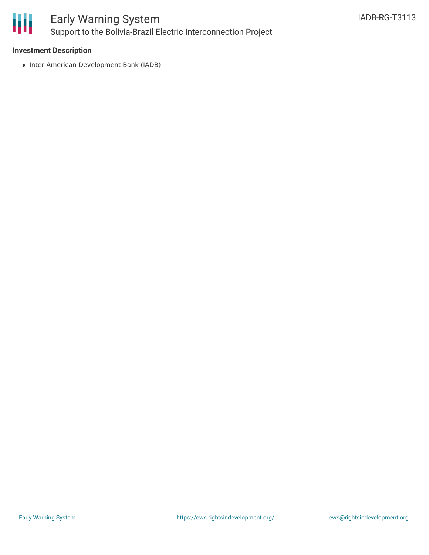

# Early Warning System Support to the Bolivia-Brazil Electric Interconnection Project

#### **Investment Description**

• Inter-American Development Bank (IADB)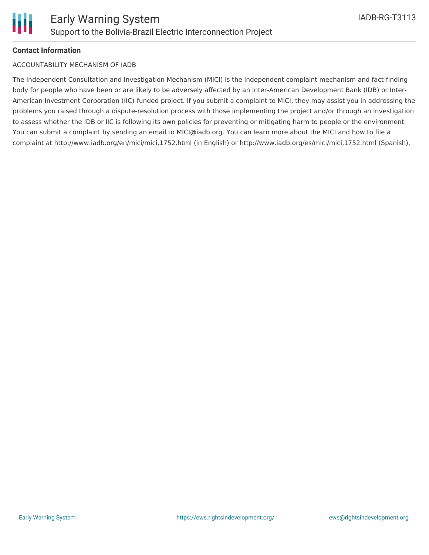

## **Contact Information**

#### ACCOUNTABILITY MECHANISM OF IADB

The Independent Consultation and Investigation Mechanism (MICI) is the independent complaint mechanism and fact-finding body for people who have been or are likely to be adversely affected by an Inter-American Development Bank (IDB) or Inter-American Investment Corporation (IIC)-funded project. If you submit a complaint to MICI, they may assist you in addressing the problems you raised through a dispute-resolution process with those implementing the project and/or through an investigation to assess whether the IDB or IIC is following its own policies for preventing or mitigating harm to people or the environment. You can submit a complaint by sending an email to MICI@iadb.org. You can learn more about the MICI and how to file a complaint at http://www.iadb.org/en/mici/mici,1752.html (in English) or http://www.iadb.org/es/mici/mici,1752.html (Spanish).